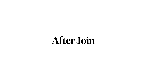

# **After Join**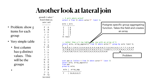## **Another look at lateral join**

|                                              | gtowell=# select $*$<br>from It limit 20;                                           | -- 5 acti where acto<br>select * from lt whe                                                         |  |  |
|----------------------------------------------|-------------------------------------------------------------------------------------|------------------------------------------------------------------------------------------------------|--|--|
|                                              | acto   acti                                                                         | $acto$   $acti$                                                                                      |  |  |
| • Problem: show 5<br>items for each<br>group | $\mathbf{F}$<br>$\vert A$<br>$K \mid B$<br>$J \mid 6$<br>$J \parallel I$<br>$L$   U | F<br>$\mathsf{A}$<br>$\sf B$<br>F.<br>$\frac{D}{C}$<br>F<br>F<br>(5 rows)                            |  |  |
| • Very simple table                          | $\vert$ 7<br>$G \cup J$<br>S<br>$\vert 4$                                           | -- rather than a 5 r<br>select acto, array_a                                                         |  |  |
| • first column<br>has 9 distinct             | $S \mid W$<br>$\mathsf{L}$<br>J   9<br>$\begin{array}{c} \hline \end{array}$        | ${A, B, D, 8, C, I, M, 9, 2, A}$<br>, G, 7, W, B, 3, G, 3, 5, S, 9<br>, 7, A, 0, F, N, F, K, 4, 7, E |  |  |
| values. This<br>will be the<br>groups        | $\prod$<br>$H \mid Z$<br>$K \parallel E$<br>$G \mid Z$<br>G   R                     | with aaa as (select $*$<br>select acto, array_ag<br>from aaa<br>group by acto;                       |  |  |
|                                              | F   B<br>$\int$<br>$\vert$ 3<br>D<br>$\overline{Q}$                                 | $acto$  <br>array_agg<br>$\{A, B, D, 8, C\}$<br>F                                                    |  |  |
|                                              | $(20$ rows)                                                                         |                                                                                                      |  |  |



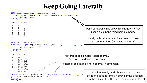```
select * 
from (select distinct acto as dact from lt) as dlt 
     join lateral (select acto, acti from lt where acto=dlt.dact limit 5) as elt
           on elt.acto=dact 
order by acto, acti;
  dact | acto | acti 
------+------+------
 A | A | 7
 A | A | M
 A | A | Q
 A | A | V
 A | A | Z
D | D | 8
 D | D | D
 D | D | I
select dact, array_agg(acti) 
from (select distinct acto as dact from lt) as dlt 
     join lateral (select acto, acti from lt where acto=dlt.dact limit 5) as elt
           on elt.acto=dact 
group by dact 
order by dact;
  dact | array_agg 
------+-------------
 A | {M, Z, V, 7, Q}D \{Q, 8, P, I, D\}F | {A, B, D, 8, C}
 G \left[ {\{Z,X,H,R,J\}} \right]H  \{T,Z,X,L,X\}\{6, 2, 9, 7, I\}K | {B, V, W, I, E}
        \{ 0, 7, 4, 0, 9 \}S \qquad | \{7, W, C, 4, B\}with aaa as (select acto, array_agg(acti) as \cancel{\alpha}rr from lt group by acto)
select acto, arr[1:5], array_length(arr, 1)from aaa 
order by acto;
```


Postgres specific. Selects part of array. Arrays are 1 indexed in postgres

Postgres specific.The length of array in dimension 1

This solution only works because the original solution put things into an array!! If the goal had been the table at top, then no. (can unnest(arr[1:5]))

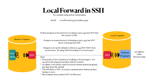

Recall: LocalForward 5432 localhost:5432



### **Local Forward in SSH**





Python program on local knows it is taking to port 5432 but NOT that the receiver is SSH.

The SSH link is a VPN. So secure communication without python

- From point of view of python it is talking to local postgres. So I can move the program anywhere with No rewrites.
- As admin, I can strictly control access by remote python programs, just shut down the ssh link
- having to worry
- Run compute heavy python NOT on DB server

Postgres on remote knows is it listening to port 5432 but NOT that it is hearing from SSH

Postgres is set up (by default) to listen to 5432 BUT ONLY from local sources. By using SSH forwarding, it is a local source

### Why?



For example using python and postgres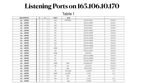## **Listening Ports on 165.106.10.170**

### Table 1

| [gtowell@loin | $\sim$ $\geq$  | SS | -tulpn          | grep           |                 |                 |
|---------------|----------------|----|-----------------|----------------|-----------------|-----------------|
| tcp LISTEN    | $\overline{O}$ |    | 244             | <b>POSTGRE</b> | 127.0.0.1:5432  | $0.0.0.0^{*}$   |
| tcp LISTEN    | $\overline{O}$ |    | 511             |                | 127.0.0.1:45913 | $0.0.0.0$ :*    |
| tcp LISTEN    | $\overline{O}$ |    | 244             |                | 127.0.0.1:5433  | $0.0.0.0$ :*    |
| tcp LISTEN    | $\overline{O}$ |    | 128             |                | 127.0.0.1:6011  | $0.0.0.0$ :*    |
| tcp LISTEN    | $\overline{O}$ |    | 511             |                | 127.0.0.1:45787 | $0.0.00$ :*     |
| tcp LISTEN    | $\overline{O}$ |    | 511             |                | 127.0.0.1:43291 | $0.0.00$ :*     |
| tcp LISTEN    | $\overline{O}$ |    | 511             |                | 127.0.0.1:45531 | $0.0.0.0$ :*    |
| tcp LISTEN    | $\overline{O}$ |    | 511             |                | 127.0.0.1:43739 | $0.0.0.0$ :*    |
| tcp LISTEN    | $\overline{O}$ |    | 511             |                | 127.0.0.1:44637 | $0.0.00$ :*     |
| tcp LISTEN    | $\overline{O}$ |    | 100             |                | 127.0.0.1:49152 | $0.0.0.0$ :*    |
| tcp LISTEN    | $\overline{O}$ |    | 70              |                | 127.0.0.1:33060 | $0.0.00$ :*     |
| tcp LISTEN    | $\overline{O}$ |    | 4096            |                | 127.0.0.1:27017 | $0.0.00$ :*     |
| tcp LISTEN    | $\overline{O}$ |    | 151             |                | 127.0.0.1:3306  | $0.0.0.0$ :*    |
| tcp LISTEN    | $\overline{O}$ |    | 4096            |                | 0.0.0.0:111     | $0.0.00$ :*     |
| tcp LISTEN    | $\overline{O}$ |    | 511             |                | 127.0.0.1:43699 | $0.0.0.0$ :*    |
| tcp LISTEN    | $\overline{O}$ |    | 511             |                | 127.0.0.1:40563 | $0.0.0.0$ :*    |
| tcp LISTEN    | $\overline{O}$ |    | 511             |                | 127.0.0.1:41813 | $0.0.00$ :*     |
| tcp LISTEN    | $\overline{O}$ |    | 4096            | <b>DNS</b>     | 0.0.53%lo:53    | $0.0.00$ :*     |
| tcp LISTEN    | $\overline{O}$ |    | 128             | ssh            | 0.0.0.0:22      | $0.0.0.0$ :*    |
| tcp LISTEN    | $\overline{O}$ |    | $5\overline{)}$ | ipps           | 127.0.0.1:631   | $0.0.0.0$ :*    |
| tcp LISTEN    | $\overline{O}$ |    | 128             | X window       | [::1]:6011      | $[:!]$ :*       |
| tcp LISTEN    | $\overline{O}$ |    | 4096            | sun RPC        | [::]:111        | $[:!]^{*}$      |
| tcp LISTEN    | $\overline{O}$ |    | 511             | http           | $*80$           | $\ast$ . $\ast$ |
| tcp LISTEN    | $\overline{O}$ |    | 128             | ssh            | [::]:22         | $[:!]^{*}$      |
| tcp LISTEN    | $\overline{O}$ |    | $5\overline{)}$ | ipps           | [::1]:631       | $[:!]^{*}$      |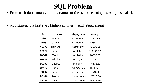## **SQL Problem**

• As a starter, just find the 2 highest salaries in each department

| id    | name            | dept_name        | salary    |
|-------|-----------------|------------------|-----------|
| 31955 | Moreira         | Accounting       | 71351.42  |
| 79081 | Ullman          | Accounting       | 47307.10  |
| 43779 | Romero          | Astronomy        | 79070.08  |
| 63287 | Jaekel          | <b>Athletics</b> | 103146.87 |
| 16807 | Yazdi           | <b>Athletics</b> | 98333.65  |
| 81991 | Valtchev        | <b>Biology</b>   | 77036.18  |
| 80759 | Queiroz         | <b>Biology</b>   | 45538.32  |
| 34175 | Bondi           | Comp. Sci.       | 115469.11 |
| 3335  | <b>Bourrier</b> | Comp. Sci.       | 80797.83  |
| 90376 | <b>Bietzk</b>   | Cybernetics      | 117836.50 |
| 63395 | McKinnon        | Cybernetics      | 94333.99  |

• From each department, find the names of the people earning the 2 highest salaries